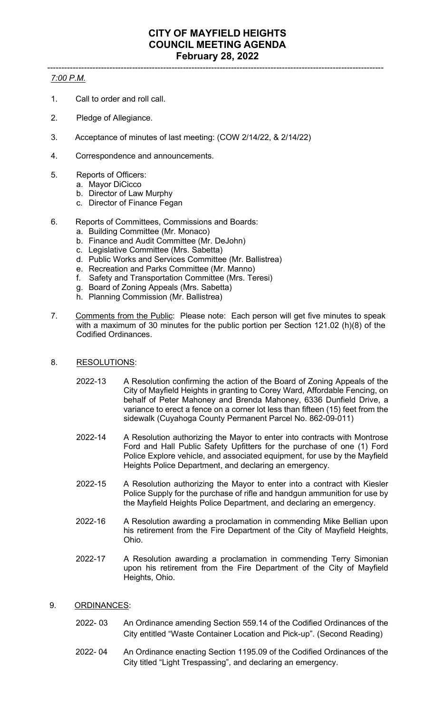## ----------------------------------------------------------------------------------------------------------------------- *7:00 P.M.*

- 1. Call to order and roll call.
- 2. Pledge of Allegiance.
- 3. Acceptance of minutes of last meeting: (COW 2/14/22, & 2/14/22)
- 4. Correspondence and announcements.
- 5. Reports of Officers:
	- a. Mayor DiCicco
	- b. Director of Law Murphy
	- c. Director of Finance Fegan
- 6. Reports of Committees, Commissions and Boards:
	- a. Building Committee (Mr. Monaco)
	- b. Finance and Audit Committee (Mr. DeJohn)
	- c. Legislative Committee (Mrs. Sabetta)
	- d. Public Works and Services Committee (Mr. Ballistrea)
	- e. Recreation and Parks Committee (Mr. Manno)
	- f. Safety and Transportation Committee (Mrs. Teresi)
	- g. Board of Zoning Appeals (Mrs. Sabetta)
	- h. Planning Commission (Mr. Ballistrea)
- 7. Comments from the Public: Please note: Each person will get five minutes to speak with a maximum of 30 minutes for the public portion per Section 121.02 (h)(8) of the Codified Ordinances.
- 8. RESOLUTIONS:
	- 2022-13 A Resolution confirming the action of the Board of Zoning Appeals of the City of Mayfield Heights in granting to Corey Ward, Affordable Fencing, on behalf of Peter Mahoney and Brenda Mahoney, 6336 Dunfield Drive, a variance to erect a fence on a corner lot less than fifteen (15) feet from the sidewalk (Cuyahoga County Permanent Parcel No. 862-09-011)
	- 2022-14 A Resolution authorizing the Mayor to enter into contracts with Montrose Ford and Hall Public Safety Upfitters for the purchase of one (1) Ford Police Explore vehicle, and associated equipment, for use by the Mayfield Heights Police Department, and declaring an emergency.
	- 2022-15 A Resolution authorizing the Mayor to enter into a contract with Kiesler Police Supply for the purchase of rifle and handgun ammunition for use by the Mayfield Heights Police Department, and declaring an emergency.
	- 2022-16 A Resolution awarding a proclamation in commending Mike Bellian upon his retirement from the Fire Department of the City of Mayfield Heights, Ohio.
	- 2022-17 A Resolution awarding a proclamation in commending Terry Simonian upon his retirement from the Fire Department of the City of Mayfield Heights, Ohio.
- 9. ORDINANCES:
	- 2022- 03 An Ordinance amending Section 559.14 of the Codified Ordinances of the City entitled "Waste Container Location and Pick-up". (Second Reading)
	- 2022- 04 An Ordinance enacting Section 1195.09 of the Codified Ordinances of the City titled "Light Trespassing", and declaring an emergency.